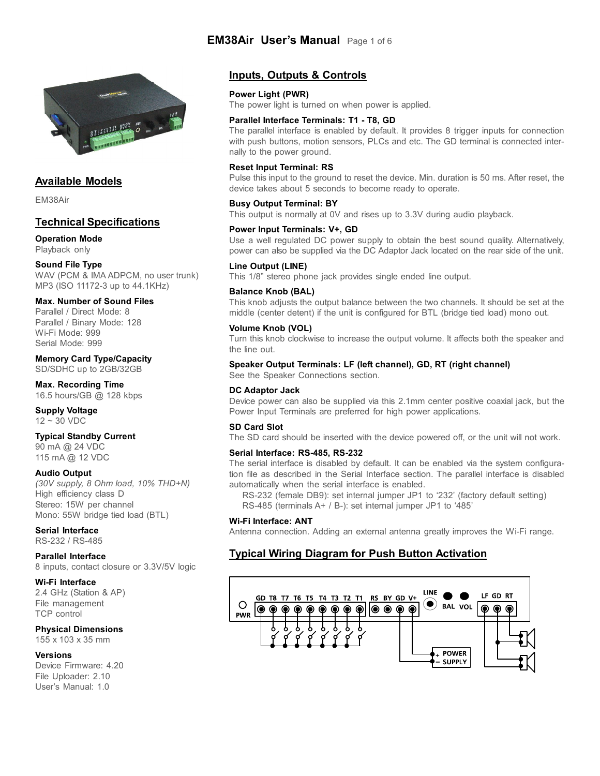

# **Available Models**

EM38Air

# **Technical Specifications**

# **Operation Mode**

Playback only

# **Sound File Type**

WAV (PCM & IMA ADPCM, no user trunk) MP3 (ISO 11172-3 up to 44.1KHz)

# **Max. Number of Sound Files**

Parallel / Direct Mode: 8 Parallel / Binary Mode: 128 Wi-Fi Mode: 999 Serial Mode: 999

#### **Memory Card Type/Capacity** SD/SDHC up to 2GB/32GB

**Max. Recording Time** 16.5 hours/GB @ 128 kbps

#### **Supply Voltage** 12 ~ 30 VDC

# **Typical Standby Current**

90 mA @ 24 VDC 115 mA @ 12 VDC

# **Audio Output**

*(30V supply, 8 Ohm load, 10% THD+N)* High efficiency class D Stereo: 15W per channel Mono: 55W bridge tied load (BTL)

# **Serial Interface**

RS-232 / RS-485

# **Parallel Interface**

8 inputs, contact closure or 3.3V/5V logic

#### **Wi-Fi Interface**

2.4 GHz (Station & AP) File management TCP control

# **Physical Dimensions**

155 x 103 x 35 mm

# **Versions**

Device Firmware: 4.20 File Uploader: 2.10 User's Manual: 1.0

# **Inputs, Outputs & Controls**

**EM38Air User's Manual** Page 1 of 6

# **Power Light (PWR)**

The power light is turned on when power is applied.

## **Parallel Interface Terminals: T1 - T8, GD**

The parallel interface is enabled by default. It provides 8 trigger inputs for connection with push buttons, motion sensors, PLCs and etc. The GD terminal is connected internally to the power ground.

# **Reset Input Terminal: RS**

Pulse this input to the ground to reset the device. Min. duration is 50 ms. After reset, the device takes about 5 seconds to become ready to operate.

### **Busy Output Terminal: BY**

This output is normally at 0V and rises up to 3.3V during audio playback.

# **Power Input Terminals: V+, GD**

Use a well regulated DC power supply to obtain the best sound quality. Alternatively, power can also be supplied via the DC Adaptor Jack located on the rear side of the unit.

#### **Line Output (LINE)**

This 1/8" stereo phone jack provides single ended line output.

#### **Balance Knob (BAL)**

This knob adjusts the output balance between the two channels. It should be set at the middle (center detent) if the unit is configured for BTL (bridge tied load) mono out.

### **Volume Knob (VOL)**

Turn this knob clockwise to increase the output volume. It affects both the speaker and the line out.

#### **Speaker Output Terminals: LF (left channel), GD, RT (right channel)**

See the Speaker Connections section.

#### **DC Adaptor Jack**

Device power can also be supplied via this 2.1mm center positive coaxial jack, but the Power Input Terminals are preferred for high power applications.

# **SD Card Slot**

The SD card should be inserted with the device powered off, or the unit will not work.

#### **Serial Interface: RS-485, RS-232**

The serial interface is disabled by default. It can be enabled via the system configuration file as described in the Serial Interface section. The parallel interface is disabled automatically when the serial interface is enabled.

RS-232 (female DB9): set internal jumper JP1 to '232' (factory default setting) RS-485 (terminals A+ / B-): set internal jumper JP1 to '485'

#### **Wi-Fi Interface: ANT**

Antenna connection. Adding an external antenna greatly improves the Wi-Fi range.

# **Typical Wiring Diagram for Push Button Activation**

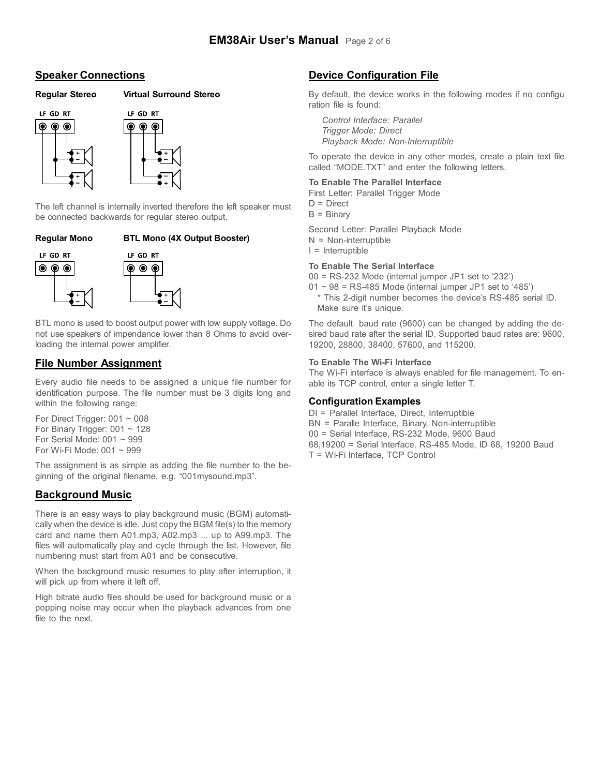# **Speaker Connections**

# **Regular Stereo Virtual Surround Stereo**



The left channel is internally inverted therefore the left speaker must be connected backwards for regular stereo output.

# **Regular Mono BTL Mono (4X Output Booster)**



BTL mono is used to boost output power with low supply voltage. Do not use speakers of impendance lower than 8 Ohms to avoid overloading the internal power amplifier.

# **File Number Assignment**

Every audio file needs to be assigned a unique file number for identification purpose. The file number must be 3 digits long and within the following range:

For Direct Trigger:  $001 \sim 008$ For Binary Trigger:  $001 \sim 128$ For Serial Mode:  $001 \sim 999$ For Wi-Fi Mode: 001 ~ 999

The assignment is as simple as adding the file number to the beginning of the original filename, e.g. "001mysound.mp3".

# **Background Music**

There is an easy ways to play background music (BGM) automatically when the device is idle. Just copy the BGM file(s) to the memory card and name them A01.mp3, A02.mp3 ... up to A99.mp3. The files will automatically play and cycle through the list. However, file numbering must start from A01 and be consecutive.

When the background music resumes to play after interruption, it will pick up from where it left off.

High bitrate audio files should be used for background music or a popping noise may occur when the playback advances from one file to the next.

# **Device Configuration File**

By default, the device works in the following modes if no configu ration file is found:

*Control Interface: Parallel Trigger Mode: Direct Playback Mode: Non-Interruptible*

To operate the device in any other modes, create a plain text file called "MODE.TXT" and enter the following letters.

# **To Enable The Parallel Interface**

First Letter: Parallel Trigger Mode

 $D = Direct$ 

 $B = Binary$ 

Second Letter: Parallel Playback Mode  $N = Non-interruptible$ 

 $I =$  Interruptible

### **To Enable The Serial Interface**

00 = RS-232 Mode (internal jumper JP1 set to '232')

- $01 \sim 98$  = RS-485 Mode (internal jumper JP1 set to '485')
	- \* This 2-digit number becomes the device's RS-485 serial ID. Make sure it's unique.

The default baud rate (9600) can be changed by adding the desired baud rate after the serial ID. Supported baud rates are: 9600, 19200, 28800, 38400, 57600, and 115200.

#### **To Enable The Wi-Fi Interface**

The Wi-Fi interface is always enabled for file management. To enable its TCP control, enter a single letter T.

# **Configuration Examples**

- DI = Parallel Interface, Direct, Interruptible
- BN = Paralle Interface, Binary, Non-interruptible
- 00 = Serial Interface, RS-232 Mode, 9600 Baud
- 68,19200 = Serial Interface, RS-485 Mode, ID 68, 19200 Baud
- T = Wi-Fi Interface, TCP Control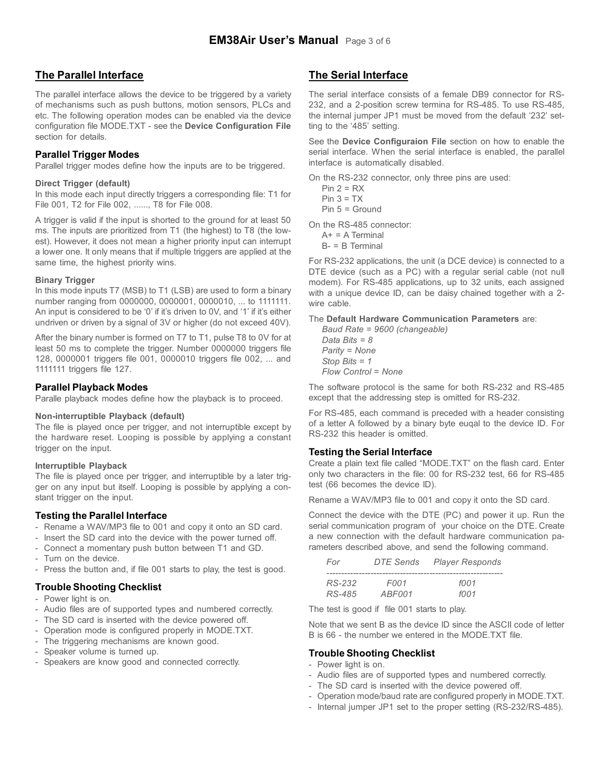# **The Parallel Interface**

The parallel interface allows the device to be triggered by a variety of mechanisms such as push buttons, motion sensors, PLCs and etc. The following operation modes can be enabled via the device configuration file MODE.TXT - see the **Device Configuration File** section for details.

# **Parallel Trigger Modes**

Parallel trigger modes define how the inputs are to be triggered.

#### **Direct Trigger (default)**

In this mode each input directly triggers a corresponding file: T1 for File 001, T2 for File 002, ......, T8 for File 008.

A trigger is valid if the input is shorted to the ground for at least 50 ms. The inputs are prioritized from T1 (the highest) to T8 (the lowest). However, it does not mean a higher priority input can interrupt a lower one. It only means that if multiple triggers are applied at the same time, the highest priority wins.

#### **Binary Trigger**

In this mode inputs T7 (MSB) to T1 (LSB) are used to form a binary number ranging from 0000000, 0000001, 0000010, ... to 1111111. An input is considered to be '0' if it's driven to 0V, and '1' if it's either undriven or driven by a signal of 3V or higher (do not exceed 40V).

After the binary number is formed on T7 to T1, pulse T8 to 0V for at least 50 ms to complete the trigger. Number 0000000 triggers file 128, 0000001 triggers file 001, 0000010 triggers file 002, ... and 1111111 triggers file 127.

#### **Parallel Playback Modes**

Paralle playback modes define how the playback is to proceed.

#### **Non-interruptible Playback (default)**

The file is played once per trigger, and not interruptible except by the hardware reset. Looping is possible by applying a constant trigger on the input.

#### **Interruptible Playback**

The file is played once per trigger, and interruptible by a later trigger on any input but itself. Looping is possible by applying a constant trigger on the input.

# **Testing the Parallel Interface**

- Rename a WAV/MP3 file to 001 and copy it onto an SD card.
- Insert the SD card into the device with the power turned off.
- Connect a momentary push button between T1 and GD.
- Turn on the device.
- Press the button and, if file 001 starts to play, the test is good.

# **Trouble Shooting Checklist**

- Power light is on.
- Audio files are of supported types and numbered correctly.
- The SD card is inserted with the device powered off.
- Operation mode is configured properly in MODE.TXT.
- The triggering mechanisms are known good.
- Speaker volume is turned up.
- Speakers are know good and connected correctly.

# **The Serial Interface**

The serial interface consists of a female DB9 connector for RS-232, and a 2-position screw termina for RS-485. To use RS-485, the internal jumper JP1 must be moved from the default '232' setting to the '485' setting.

See the **Device Configuraion File** section on how to enable the serial interface. When the serial interface is enabled, the parallel interface is automatically disabled.

On the RS-232 connector, only three pins are used:

 $Pin 2 = RX$ 

 $Pin 3 = TX$ 

Pin 5 = Ground

On the RS-485 connector:

 $A+ = A$  Terminal B- = B Terminal

For RS-232 applications, the unit (a DCE device) is connected to a DTE device (such as a PC) with a regular serial cable (not null modem). For RS-485 applications, up to 32 units, each assigned with a unique device ID, can be daisy chained together with a 2 wire cable.

The **Default Hardware Communication Parameters** are:

*Baud Rate = 9600 (changeable) Data Bits = 8 Parity = None Stop Bits = 1 Flow Control = None*

The software protocol is the same for both RS-232 and RS-485 except that the addressing step is omitted for RS-232.

For RS-485, each command is preceded with a header consisting of a letter A followed by a binary byte euqal to the device ID. For RS-232 this header is omitted.

#### **Testing the Serial Interface**

Create a plain text file called "MODE.TXT" on the flash card. Enter only two characters in the file: 00 for RS-232 test, 66 for RS-485 test (66 becomes the device ID).

Rename a WAV/MP3 file to 001 and copy it onto the SD card.

Connect the device with the DTE (PC) and power it up. Run the serial communication program of your choice on the DTE. Create a new connection with the default hardware communication parameters described above, and send the following command.

| For    | DTE Sends   | <b>Player Responds</b> |
|--------|-------------|------------------------|
|        |             |                        |
| RS-232 | <i>FOO1</i> | f001                   |
| RS-485 | ABF001      | f001                   |

The test is good if file 001 starts to play.

Note that we sent B as the device ID since the ASCII code of letter B is 66 - the number we entered in the MODE.TXT file.

# **Trouble Shooting Checklist**

- Power light is on.
- Audio files are of supported types and numbered correctly.
- The SD card is inserted with the device powered off.
- Operation mode/baud rate are configured properly in MODE.TXT.
- Internal jumper JP1 set to the proper setting (RS-232/RS-485).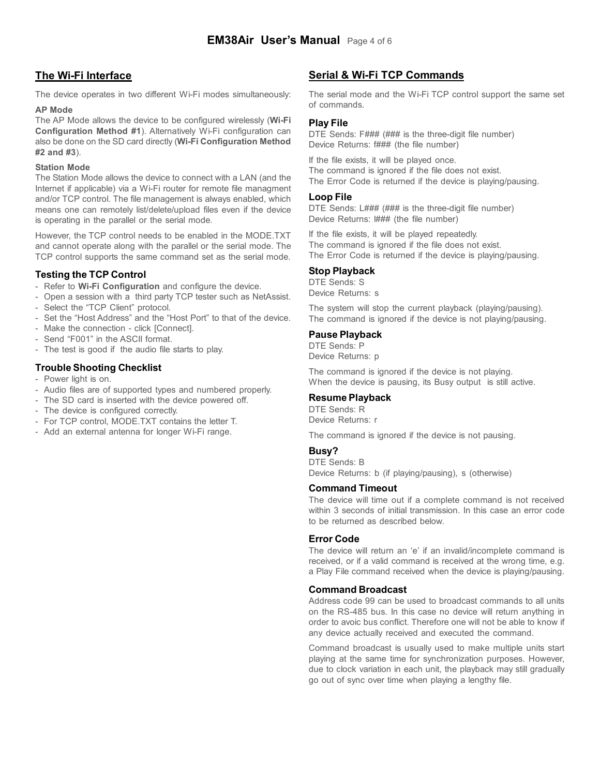# **The Wi-Fi Interface**

The device operates in two different Wi-Fi modes simultaneously:

#### **AP Mode**

The AP Mode allows the device to be configured wirelessly (**Wi-Fi Configuration Method #1**). Alternatively Wi-Fi configuration can also be done on the SD card directly (**Wi-Fi Configuration Method #2 and #3**).

### **Station Mode**

The Station Mode allows the device to connect with a LAN (and the Internet if applicable) via a Wi-Fi router for remote file managment and/or TCP control. The file management is always enabled, which means one can remotely list/delete/upload files even if the device is operating in the parallel or the serial mode.

However, the TCP control needs to be enabled in the MODE.TXT and cannot operate along with the parallel or the serial mode. The TCP control supports the same command set as the serial mode.

# **Testing the TCP Control**

- Refer to **Wi-Fi Configuration** and configure the device.
- Open a session with a third party TCP tester such as NetAssist.
- Select the "TCP Client" protocol.
- Set the "Host Address" and the "Host Port" to that of the device.
- Make the connection click [Connect].
- Send "F001" in the ASCII format.
- The test is good if the audio file starts to play.

# **Trouble Shooting Checklist**

- Power light is on.
- Audio files are of supported types and numbered properly.
- The SD card is inserted with the device powered off.
- The device is configured correctly.
- For TCP control, MODE.TXT contains the letter T.
- Add an external antenna for longer Wi-Fi range.

# **Serial & Wi-Fi TCP Commands**

The serial mode and the Wi-Fi TCP control support the same set of commands.

# **Play File**

DTE Sends: F### (### is the three-digit file number) Device Returns: f### (the file number)

If the file exists, it will be played once. The command is ignored if the file does not exist. The Error Code is returned if the device is playing/pausing.

# **Loop File**

DTE Sends: L### (### is the three-digit file number) Device Returns: ### (the file number)

If the file exists, it will be played repeatedly. The command is ignored if the file does not exist. The Error Code is returned if the device is playing/pausing.

# **Stop Playback**

DTE Sends: S Device Returns: s

The system will stop the current playback (playing/pausing). The command is ignored if the device is not playing/pausing.

# **Pause Playback**

DTE Sends: P Device Returns: p

The command is ignored if the device is not playing. When the device is pausing, its Busy output is still active.

# **Resume Playback**

DTE Sends: R Device Returns: r

The command is ignored if the device is not pausing.

# **Busy?**

DTE Sends: B Device Returns: b (if playing/pausing), s (otherwise)

# **Command Timeout**

The device will time out if a complete command is not received within 3 seconds of initial transmission. In this case an error code to be returned as described below.

# **Error Code**

The device will return an 'e' if an invalid/incomplete command is received, or if a valid command is received at the wrong time, e.g. a Play File command received when the device is playing/pausing.

# **Command Broadcast**

Address code 99 can be used to broadcast commands to all units on the RS-485 bus. In this case no device will return anything in order to avoic bus conflict. Therefore one will not be able to know if any device actually received and executed the command.

Command broadcast is usually used to make multiple units start playing at the same time for synchronization purposes. However, due to clock variation in each unit, the playback may still gradually go out of sync over time when playing a lengthy file.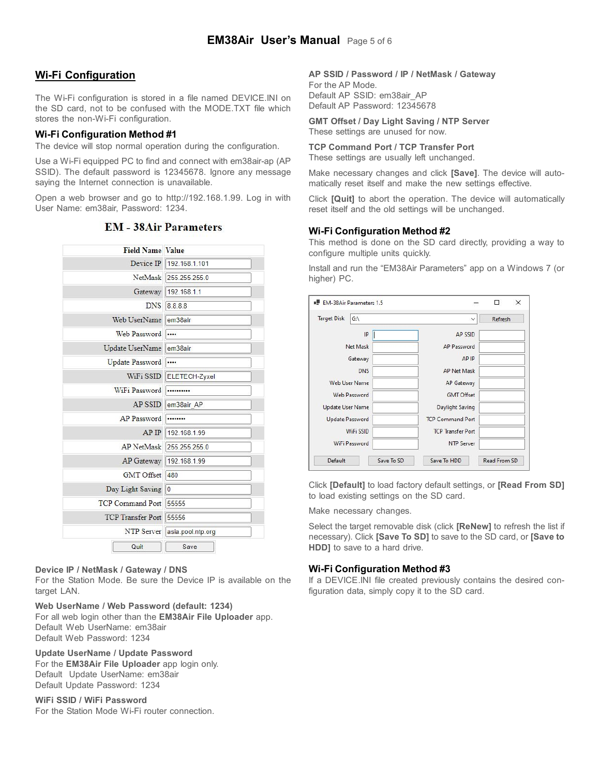# **Wi-Fi Configuration**

The Wi-Fi configuration is stored in a file named DEVICE.INI on the SD card, not to be confused with the MODE.TXT file which stores the non-Wi-Fi configuration.

# **Wi-Fi Configuration Method #1**

The device will stop normal operation during the configuration.

Use a Wi-Fi equipped PC to find and connect with em38air-ap (AP SSID). The default password is 12345678. Ignore any message saying the Internet connection is unavailable.

Open a web browser and go to http://192.168.1.99. Log in with User Name: em38air, Password: 1234.

| <b>Field Name Value</b>  |                       |  |
|--------------------------|-----------------------|--|
| Device IP                | 192.168.1.101         |  |
|                          | NetMask 255.255.255.0 |  |
| Gateway                  | 192.168.1.1           |  |
| <b>DNS</b>               | 8.8.8.8               |  |
| Web UserName             | em38air               |  |
| <b>Web Password</b>      |                       |  |
| Update UserName          | em38air               |  |
| <b>Update Password</b>   |                       |  |
| WiFi SSID                | ELETECH-Zyxel         |  |
| WiFi Password            |                       |  |
| <b>AP SSID</b>           | em38air AP            |  |
| <b>AP</b> Password       |                       |  |
| AP IP                    | 192.168.1.99          |  |
| <b>AP</b> NetMask        | 255.255.255.0         |  |
| <b>AP</b> Gateway        | 192.168.1.99          |  |
| <b>GMT</b> Offset        | 480                   |  |
| Day Light Saving         | $\overline{0}$        |  |
| <b>TCP Command Port</b>  | 55555                 |  |
| <b>TCP</b> Transfer Port | 55556                 |  |
| NTP Server               | asia.pool.ntp.org     |  |
| Quit                     | Save                  |  |

# **EM** - 38Air Parameters

# **Device IP / NetMask / Gateway / DNS**

For the Station Mode. Be sure the Device IP is available on the target LAN.

**Web UserName / Web Password (default: 1234)**

For all web login other than the **EM38Air File Uploader** app. Default Web UserName: em38air Default Web Password: 1234

**Update UserName / Update Password**

For the **EM38Air File Uploader** app login only. Default Update UserName: em38air Default Update Password: 1234

# **WiFi SSID / WiFi Password**

For the Station Mode Wi-Fi router connection.

# **AP SSID / Password / IP / NetMask / Gateway**

For the AP Mode. Default AP SSID: em38air\_AP Default AP Password: 12345678

**GMT Offset / Day Light Saving / NTP Server** These settings are unused for now.

# **TCP Command Port / TCP Transfer Port**

These settings are usually left unchanged.

Make necessary changes and click **[Save]**. The device will automatically reset itself and make the new settings effective.

Click **[Quit]** to abort the operation. The device will automatically reset itself and the old settings will be unchanged.

# **Wi-Fi Configuration Method #2**

This method is done on the SD card directly, providing a way to configure multiple units quickly.

Install and run the "EM38Air Parameters" app on a Windows 7 (or higher) PC.

| <b>Target Disk</b><br>$G:\setminus$ | $\checkmark$             | Refresh |
|-------------------------------------|--------------------------|---------|
| IP                                  | <b>AP SSID</b>           |         |
| Net Mask                            | AP Password              |         |
| Gateway                             | AP IP                    |         |
| <b>DNS</b>                          | <b>AP Net Mask</b>       |         |
| <b>Web User Name</b>                | AP Gateway               |         |
| Web Password                        | <b>GMT Offset</b>        |         |
| <b>Update User Name</b>             | Daylight Saving          |         |
| <b>Update Password</b>              | <b>TCP Command Port</b>  |         |
| <b>WiFi SSID</b>                    | <b>TCP Transfer Port</b> |         |
| WiFi Password                       | <b>NTP Server</b>        |         |

Click **[Default]** to load factory default settings, or **[Read From SD]** to load existing settings on the SD card.

Make necessary changes.

Select the target removable disk (click **[ReNew]** to refresh the list if necessary). Click **[Save To SD]** to save to the SD card, or **[Save to HDD]** to save to a hard drive.

# **Wi-Fi Configuration Method #3**

If a DEVICE.INI file created previously contains the desired configuration data, simply copy it to the SD card.